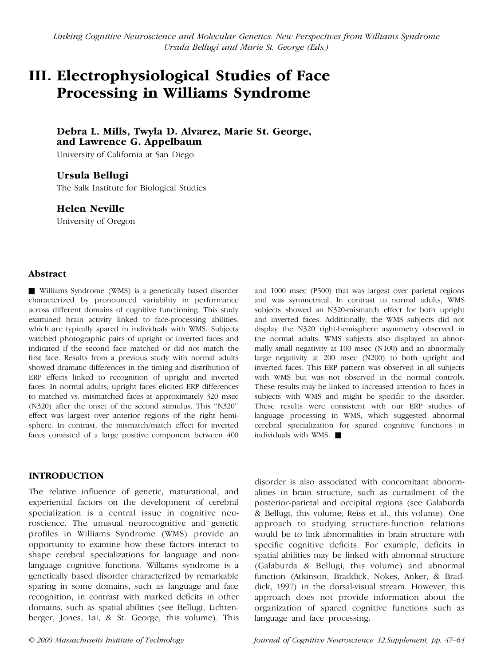*Linking Cognitive Neuroscience and Molecular Genetics: New Perspectives from Williams Syndrome Ursula Bellugi and Marie St. George (Eds.)*

# **III. Electrophysiological Studies of Face Processing in Williams Syndrome**

## **Debra L. Mills, Twyla D. Alvarez, Marie St. George, and Lawrence G. Appelbaum**

University of California at San Diego

## **Ursula Bellugi**

The Salk Institute for Biological Studies

### **Helen Neville**

University of Oregon

## **Abstract**

& Williams Syndrome (WMS) is a genetically based disorder characterized by pronounced variability in performance across different domains of cognitive functioning. This study examined brain activity linked to face-processing abilities, which are typically spared in individuals with WMS. Subjects watched photographic pairs of upright or inverted faces and indicated if the second face matched or did not match the first face. Results from a previous study with normal adults showed dramatic differences in the timing and distribution of ERP effects linked to recognition of upright and inverted faces. In normal adults, upright faces elicited ERP differences to matched vs. mismatched faces at approximately 320 msec (N320) after the onset of the second stimulus. This ''N320'' effect was largest over anterior regions of the right hemisphere. In contrast, the mismatch/match effect for inverted faces consisted of a large positive component between 400

## **INTRODUCTION**

The relative influence of genetic, maturational, and experiential factors on the development of cerebral specialization is a central issue in cognitive neuroscience. The unusual neurocognitive and genetic profiles in Williams Syndrome (WMS) provide an opportunity to examine how these factors interact to shape cerebral specializations for language and nonlanguage cognitive functions. Williams syndrome is a genetically based disorder characterized by remarkable sparing in some domains, such as language and face recognition, in contrast with marked deficits in other domains, such as spatial abilities (see Bellugi, Lichtenberger, Jones, Lai, & St. George, this volume). This and 1000 msec (P500) that was largest over parietal regions and was symmetrical. In contrast to normal adults, WMS subjects showed an N320-mismatch effect for both upright and inverted faces. Additionally, the WMS subjects did not display the N320 right-hemisphere asymmetry observed in the normal adults. WMS subjects also displayed an abnormally small negativity at 100 msec (N100) and an abnormally large negativity at 200 msec (N200) to both upright and inverted faces. This ERP pattern was observed in all subjects with WMS but was not observed in the normal controls. These results may be linked to increased attention to faces in subjects with WMS and might be specific to the disorder. These results were consistent with our ERP studies of language processing in WMS, which suggested abnormal cerebral specialization for spared cognitive functions in individuals with WMS.  $\blacksquare$ 

disorder is also associated with concomitant abnormalities in brain structure, such as curtailment of the posterior-parietal and occipital regions (see Galaburda & Bellugi, this volume; Reiss et al., this volume). One approach to studying structure-function relations would be to link abnormalities in brain structure with specific cognitive deficits. For example, deficits in spatial abilities may be linked with abnormal structure (Galaburda & Bellugi, this volume) and abnormal function (Atkinson, Braddick, Nokes, Anker, & Braddick, 1997) in the dorsal-visual stream. However, this approach does not provide information about the organization of spared cognitive functions such as language and face processing.

© *2000 Massachusetts Institute of Technology Journal of Cognitive Neuroscience 12:Supplement, pp. 47–64*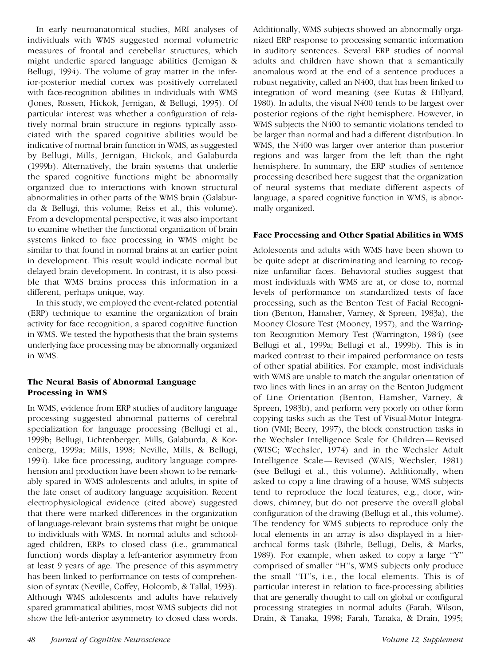In early neuroanatomical studies, MRI analyses of individuals with WMS suggested normal volumetric measures of frontal and cerebellar structures, which might underlie spared language abilities (Jernigan & Bellugi, 1994). The volume of gray matter in the inferior-posterior medial cortex was positively correlated with face-recognition abilities in individuals with WMS (Jones, Rossen, Hickok, Jernigan, & Bellugi, 1995). Of particular interest was whether a configuration of relatively normal brain structure in regions typically associated with the spared cognitive abilities would be indicative of normal brain function in WMS, as suggested by Bellugi, Mills, Jernigan, Hickok, and Galaburda (1999b). Alternatively, the brain systems that underlie the spared cognitive functions might be abnormally organized due to interactions with known structural abnormalities in other parts of the WMS brain (Galaburda & Bellugi, this volume; Reiss et al., this volume). From a developmental perspective, it was also important to examine whether the functional organization of brain systems linked to face processing in WMS might be similar to that found in normal brains at an earlier point in development. This result would indicate normal but delayed brain development. In contrast, it is also possible that WMS brains process this information in a different, perhaps unique, way.

In this study, we employed the event-related potential (ERP) technique to examine the organization of brain activity for face recognition, a spared cognitive function in WMS. We tested the hypothesis that the brain systems underlying face processing may be abnormally organized in WMS.

## **The Neural Basis of Abnormal Language Processing in WMS**

In WMS, evidence from ERP studies of auditory language processing suggested abnormal patterns of cerebral specialization for language processing (Bellugi et al., 1999b; Bellugi, Lichtenberger, Mills, Galaburda, & Korenberg, 1999a; Mills, 1998; Neville, Mills, & Bellugi, 1994). Like face processing, auditory language comprehension and production have been shown to be remarkably spared in WMS adolescents and adults, in spite of the late onset of auditory language acquisition. Recent electrophysiological evidence (cited above) suggested that there were marked differences in the organization of language-relevant brain systems that might be unique to individuals with WMS. In normal adults and schoolaged children, ERPs to closed class (i.e., grammatical function) words display a left-anterior asymmetry from at least 9 years of age. The presence of this asymmetry has been linked to performance on tests of comprehension of syntax (Neville, Coffey, Holcomb, & Tallal, 1993). Although WMS adolescents and adults have relatively spared grammatical abilities, most WMS subjects did not show the left-anterior asymmetry to closed class words.

Additionally, WMS subjects showed an abnormally organized ERP response to processing semantic information in auditory sentences. Several ERP studies of normal adults and children have shown that a semantically anomalous word at the end of a sentence produces a robust negativity, called an N400, that has been linked to integration of word meaning (see Kutas & Hillyard, 1980). In adults, the visual N400 tends to be largest over posterior regions of the right hemisphere. However, in WMS subjects the N400 to semantic violations tended to be larger than normal and had a different distribution. In WMS, the N400 was larger over anterior than posterior regions and was larger from the left than the right hemisphere. In summary, the ERP studies of sentence processing described here suggest that the organization of neural systems that mediate different aspects of language, a spared cognitive function in WMS, is abnormally organized.

## **Face Processing and Other Spatial Abilities in WMS**

Adolescents and adults with WMS have been shown to be quite adept at discriminating and learning to recognize unfamiliar faces. Behavioral studies suggest that most individuals with WMS are at, or close to, normal levels of performance on standardized tests of face processing, such as the Benton Test of Facial Recognition (Benton, Hamsher, Varney, & Spreen, 1983a), the Mooney Closure Test (Mooney, 1957), and the Warrington Recognition Memory Test (Warrington, 1984) (see Bellugi et al., 1999a; Bellugi et al., 1999b). This is in marked contrast to their impaired performance on tests of other spatial abilities. For example, most individuals with WMS are unable to match the angular orientation of two lines with lines in an array on the Benton Judgment of Line Orientation (Benton, Hamsher, Varney, & Spreen, 1983b), and perform very poorly on other form copying tasks such as the Test of Visual-Motor Integration (VMI; Beery, 1997), the block construction tasks in the Wechsler Intelligence Scale for Children— Revised (WISC; Wechsler, 1974) and in the Wechsler Adult Intelligence Scale— Revised (WAIS; Wechsler, 1981) (see Bellugi et al., this volume). Additionally, when asked to copy a line drawing of a house, WMS subjects tend to reproduce the local features, e.g., door, windows, chimney, but do not preserve the overall global configuration of the drawing (Bellugi et al., this volume). The tendency for WMS subjects to reproduce only the local elements in an array is also displayed in a hierarchical forms task (Bihrle, Bellugi, Delis, & Marks, 1989). For example, when asked to copy a large ''Y'' comprised of smaller ''H''s, WMS subjects only produce the small ''H''s, i.e., the local elements. This is of particular interest in relation to face-processing abilities that are generally thought to call on global or configural processing strategies in normal adults (Farah, Wilson, Drain, & Tanaka, 1998; Farah, Tanaka, & Drain, 1995;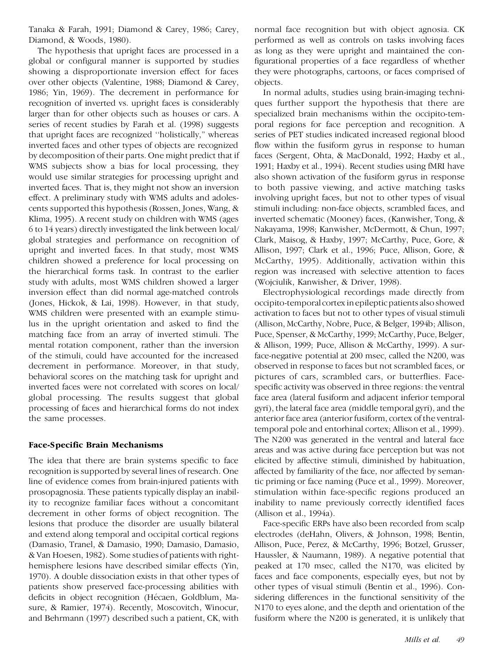Tanaka & Farah, 1991; Diamond & Carey, 1986; Carey, Diamond, & Woods, 1980).

The hypothesis that upright faces are processed in a global or configural manner is supported by studies showing a disproportionate inversion effect for faces over other objects (Valentine, 1988; Diamond & Carey, 1986; Yin, 1969). The decrement in performance for recognition of inverted vs. upright faces is considerably larger than for other objects such as houses or cars. A series of recent studies by Farah et al. (1998) suggests that upright faces are recognized ''holistically,'' whereas inverted faces and other types of objects are recognized by decomposition of their parts. One might predict that if WMS subjects show a bias for local processing, they would use similar strategies for processing upright and inverted faces. That is, they might not show an inversion effect. A preliminary study with WMS adults and adolescents supported this hypothesis (Rossen, Jones, Wang, & Klima, 1995). A recent study on children with WMS (ages 6 to 14 years) directly investigated the link between local/ global strategies and performance on recognition of upright and inverted faces. In that study, most WMS children showed a preference for local processing on the hierarchical forms task. In contrast to the earlier study with adults, most WMS children showed a larger inversion effect than did normal age-matched controls (Jones, Hickok, & Lai, 1998). However, in that study, WMS children were presented with an example stimulus in the upright orientation and asked to find the matching face from an array of inverted stimuli. The mental rotation component, rather than the inversion of the stimuli, could have accounted for the increased decrement in performance. Moreover, in that study, behavioral scores on the matching task for upright and inverted faces were not correlated with scores on local/ global processing. The results suggest that global processing of faces and hierarchical forms do not index the same processes.

### **Face-Specific Brain Mechanisms**

The idea that there are brain systems specific to face recognition is supported by several lines of research. One line of evidence comes from brain-injured patients with prosopagnosia. These patients typically display an inability to recognize familiar faces without a concomitant decrement in other forms of object recognition. The lesions that produce the disorder are usually bilateral and extend along temporal and occipital cortical regions (Damasio, Tranel, & Damasio, 1990; Damasio, Damasio, & Van Hoesen, 1982). Some studies of patients with righthemisphere lesions have described similar effects (Yin, 1970). A double dissociation exists in that other types of patients show preserved face-processing abilities with deficits in object recognition (Hécaen, Goldblum, Masure, & Ramier, 1974). Recently, Moscovitch, Winocur, and Behrmann (1997) described such a patient, CK, with normal face recognition but with object agnosia. CK performed as well as controls on tasks involving faces as long as they were upright and maintained the configurational properties of a face regardless of whether they were photographs, cartoons, or faces comprised of objects.

In normal adults, studies using brain-imaging techniques further support the hypothesis that there are specialized brain mechanisms within the occipito-temporal regions for face perception and recognition. A series of PET studies indicated increased regional blood flow within the fusiform gyrus in response to human faces (Sergent, Ohta, & MacDonald, 1992; Haxby et al., 1991; Haxby et al., 1994). Recent studies using fMRI have also shown activation of the fusiform gyrus in response to both passive viewing, and active matching tasks involving upright faces, but not to other types of visual stimuli including: non-face objects, scrambled faces, and inverted schematic (Mooney) faces, (Kanwisher, Tong, & Nakayama, 1998; Kanwisher, McDermott, & Chun, 1997; Clark, Maisog, & Haxby, 1997; McCarthy, Puce, Gore, & Allison, 1997; Clark et al., 1996; Puce, Allison, Gore, & McCarthy, 1995). Additionally, activation within this region was increased with selective attention to faces (Wojciulik, Kanwisher, & Driver, 1998).

Electrophysiological recordings made directly from occipito-temporal cortex inepilepticpatients also showed activation to faces but not to other types of visual stimuli (Allison, McCarthy, Nobre, Puce, & Belger, 1994b; Allison, Puce, Spenser, & McCarthy, 1999; McCarthy, Puce, Belger, & Allison, 1999; Puce, Allison & McCarthy, 1999). A surface-negative potential at 200 msec, called the N200, was observed in response to faces but not scrambled faces, or pictures of cars, scrambled cars, or butterflies. Facespecific activity was observed in three regions: the ventral face area (lateral fusiform and adjacent inferior temporal gyri), the lateral face area (middle temporal gyri), and the anterior face area (anterior fusiform, cortex of the ventraltemporal pole and entorhinal cortex; Allison et al., 1999). The N200 was generated in the ventral and lateral face areas and was active during face perception but was not elicited by affective stimuli, diminished by habituation, affected by familiarity of the face, nor affected by semantic priming or face naming (Puce et al., 1999). Moreover, stimulation within face-specific regions produced an inability to name previously correctly identified faces (Allison et al., 1994a).

Face-specific ERPs have also been recorded from scalp electrodes (deHahn, Olivers, & Johnson, 1998; Bentin, Allison, Puce, Perez, & McCarthy, 1996; Botzel, Grusser, Haussler, & Naumann, 1989). A negative potential that peaked at 170 msec, called the N170, was elicited by faces and face components, especially eyes, but not by other types of visual stimuli (Bentin et al., 1996). Considering differences in the functional sensitivity of the N170 to eyes alone, and the depth and orientation of the fusiform where the N200 is generated, it is unlikely that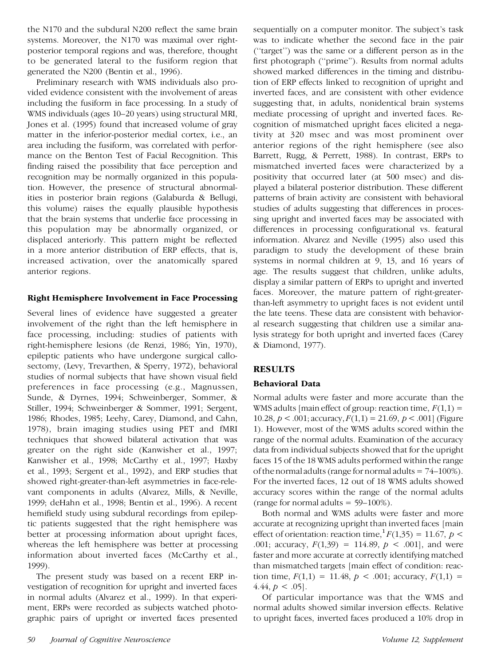the N170 and the subdural N200 reflect the same brain systems. Moreover, the N170 was maximal over rightposterior temporal regions and was, therefore, thought to be generated lateral to the fusiform region that generated the N200 (Bentin et al., 1996).

Preliminary research with WMS individuals also provided evidence consistent with the involvement of areas including the fusiform in face processing. In a study of WMS individuals (ages 10–20 years) using structural MRI, Jones et al. (1995) found that increased volume of gray matter in the inferior-posterior medial cortex, i.e., an area including the fusiform, was correlated with performance on the Benton Test of Facial Recognition. This finding raised the possibility that face perception and recognition may be normally organized in this population. However, the presence of structural abnormalities in posterior brain regions (Galaburda & Bellugi, this volume) raises the equally plausible hypothesis that the brain systems that underlie face processing in this population may be abnormally organized, or displaced anteriorly. This pattern might be reflected in a more anterior distribution of ERP effects, that is, increased activation, over the anatomically spared anterior regions.

### **Right Hemisphere Involvement in Face Processing**

Several lines of evidence have suggested a greater involvement of the right than the left hemisphere in face processing, including: studies of patients with right-hemisphere lesions (de Renzi, 1986; Yin, 1970), epileptic patients who have undergone surgical callosectomy, (Levy, Trevarthen, & Sperry, 1972), behavioral studies of normal subjects that have shown visual field preferences in face processing (e.g., Magnussen, Sunde, & Dyrnes, 1994; Schweinberger, Sommer, & Stiller, 1994; Schweinberger & Sommer, 1991; Sergent, 1986; Rhodes, 1985; Leehy, Carey, Diamond, and Cahn, 1978), brain imaging studies using PET and fMRI techniques that showed bilateral activation that was greater on the right side (Kanwisher et al., 1997; Kanwisher et al., 1998; McCarthy et al., 1997; Haxby et al., 1993; Sergent et al., 1992), and ERP studies that showed right-greater-than-left asymmetries in face-relevant components in adults (Alvarez, Mills, & Neville, 1999; deHahn et al., 1998; Bentin et al., 1996). A recent hemifield study using subdural recordings from epileptic patients suggested that the right hemisphere was better at processing information about upright faces, whereas the left hemisphere was better at processing information about inverted faces (McCarthy et al., 1999).

The present study was based on a recent ERP investigation of recognition for upright and inverted faces in normal adults (Alvarez et al., 1999). In that experiment, ERPs were recorded as subjects watched photographic pairs of upright or inverted faces presented sequentially on a computer monitor. The subject's task was to indicate whether the second face in the pair (''target'') was the same or a different person as in the first photograph (''prime''). Results from normal adults showed marked differences in the timing and distribution of ERP effects linked to recognition of upright and inverted faces, and are consistent with other evidence suggesting that, in adults, nonidentical brain systems mediate processing of upright and inverted faces. Recognition of mismatched upright faces elicited a negativity at 320 msec and was most prominent over anterior regions of the right hemisphere (see also Barrett, Rugg, & Perrett, 1988). In contrast, ERPs to mismatched inverted faces were characterized by a positivity that occurred later (at 500 msec) and displayed a bilateral posterior distribution. These different patterns of brain activity are consistent with behavioral studies of adults suggesting that differences in processing upright and inverted faces may be associated with differences in processing configurational vs. featural information. Alvarez and Neville (1995) also used this paradigm to study the development of these brain systems in normal children at 9, 13, and 16 years of age. The results suggest that children, unlike adults, display a similar pattern of ERPs to upright and inverted faces. Moreover, the mature pattern of right-greaterthan-left asymmetry to upright faces is not evident until the late teens. These data are consistent with behavioral research suggesting that children use a similar analysis strategy for both upright and inverted faces (Carey & Diamond, 1977).

## **RESULTS**

## **Behavioral Data**

Normal adults were faster and more accurate than the WMS adults [main effect of group: reaction time,  $F(1,1) =$ 10.28,  $p < .001$ ; accuracy,  $F(1,1) = 21.69$ ,  $p < .001$ ] (Figure 1). However, most of the WMS adults scored within the range of the normal adults. Examination of the accuracy data from individual subjects showed that for the upright faces 15 of the 18 WMS adults performed within the range of the normal adults (range for normal adults  $= 74-100\%$ ). For the inverted faces, 12 out of 18 WMS adults showed accuracy scores within the range of the normal adults (range for normal adults  $= 59-100\%$ ).

Both normal and WMS adults were faster and more accurate at recognizing upright than inverted faces [main effect of orientation: reaction time,  $F(1,35) = 11.67$ ,  $p <$ .001; accuracy, *F*(1,39) = 114.89, *p* < .001], and were faster and more accurate at correctly identifying matched than mismatched targets [main effect of condition: reaction time,  $F(1,1) = 11.48$ ,  $p < .001$ ; accuracy,  $F(1,1) =$  $4.44, p \leq .05$ .

Of particular importance was that the WMS and normal adults showed similar inversion effects. Relative to upright faces, inverted faces produced a 10% drop in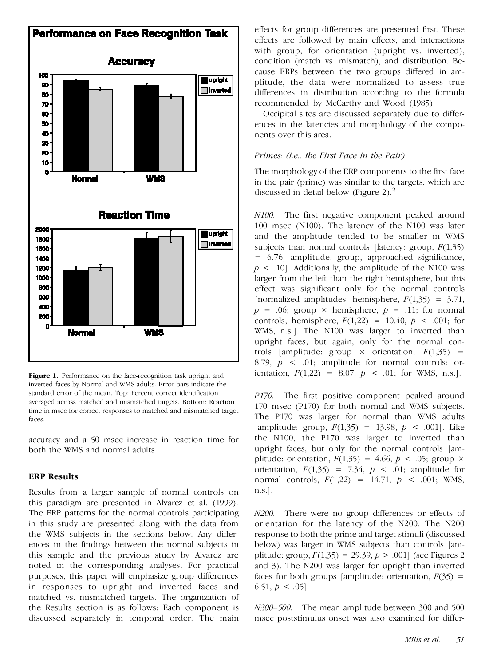

**Figure 1.** Performance on the face-recognition task upright and inverted faces by Normal and WMS adults. Error bars indicate the standard error of the mean. Top: Percent correct identification averaged across matched and mismatched targets. Bottom: Reaction time in msec for correct responses to matched and mismatched target faces.

accuracy and a 50 msec increase in reaction time for both the WMS and normal adults.

### **ERP Results**

Results from a larger sample of normal controls on this paradigm are presented in Alvarez et al. (1999). The ERP patterns for the normal controls participating N200. in this study are presented along with the data from the WMS subjects in the sections below. Any differences in the findings between the normal subjects in this sample and the previous study by Alvarez are noted in the corresponding analyses. For practical purposes, this paper will emphasize group differences in responses to upright and inverted faces and matched vs. mismatched targets. The organization of the Results section is as follows: Each component is discussed separately in temporal order. The main

effects for group differences are presented first. These effects are followed by main effects, and interactions with group, for orientation (upright vs. inverted), condition (match vs. mismatch), and distribution. Because ERPs between the two groups differed in amplitude, the data were normalized to assess true differences in distribution according to the formula recommended by McCarthy and Wood (1985).

Occipital sites are discussed separately due to differences in the latencies and morphology of the components over this area.

### *Primes: (i.e., the First Face in the Pair)*

The morphology of the ERP components to the first face in the pair (prime) was similar to the targets, which are discussed in detail below (Figure 2).<sup>2</sup>

*N100.* The first negative component peaked around 100 msec (N100). The latency of the N100 was later and the amplitude tended to be smaller in WMS subjects than normal controls [latency: group, *F*(1,35) = 6.76; amplitude: group, approached significance,  $p \lt 0.10$ . Additionally, the amplitude of the N100 was larger from the left than the right hemisphere, but this effect was significant only for the normal controls [normalized amplitudes: hemisphere,  $F(1,35) = 3.71$ ,  $p = .06$ ; group  $\times$  hemisphere,  $p = .11$ ; for normal controls, hemisphere,  $F(1,22) = 10.40, p < .001$ ; for WMS, n.s.]. The N100 was larger to inverted than upright faces, but again, only for the normal controls [amplitude: group  $\times$  orientation,  $F(1,35)$  = 8.79,  $p \leq 0.01$ ; amplitude for normal controls: orientation,  $F(1,22) = 8.07$ ,  $p < .01$ ; for WMS, n.s.].

*P170.* The first positive component peaked around 170 msec (P170) for both normal and WMS subjects. The P170 was larger for normal than WMS adults [amplitude: group,  $F(1,35) = 13.98, p < .001$ ]. Like the N100, the P170 was larger to inverted than upright faces, but only for the normal controls [amplitude: orientation,  $F(1,35) = 4.66$ ,  $p < .05$ ; group  $\times$ orientation,  $F(1,35) = 7.34$ ,  $p < .01$ ; amplitude for normal controls, *F*(1,22) = 14.71, *p* < .001; WMS, n.s.].

There were no group differences or effects of orientation for the latency of the N200. The N200 response to both the prime and target stimuli (discussed below) was larger in WMS subjects than controls [amplitude: group,  $F(1,35) = 29.39, p > .001$  (see Figures 2) and 3). The N200 was larger for upright than inverted faces for both groups [amplitude: orientation,  $F(35) =$ 6.51,  $p < .05$ ].

*N300–500.* The mean amplitude between 300 and 500 msec poststimulus onset was also examined for differ-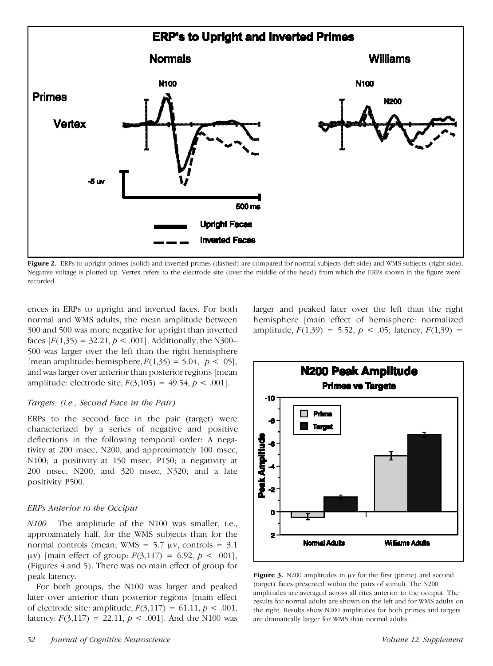

Figure 2. ERPs to upright primes (solid) and inverted primes (dashed) are compared for normal subjects (left side) and WMS subjects (right side). Negative voltage is plotted up. Vertex refers to the electrode site (over the middle of the head) from which the ERPs shown in the figure were recorded.

ences in ERPs to upright and inverted faces. For both normal and WMS adults, the mean amplitude between 300 and 500 was more negative for upright than inverted faces  $[F(1,35) = 32.21, p < .001]$ . Additionally, the N300– 500 was larger over the left than the right hemisphere [mean amplitude: hemisphere,  $F(1,35) = 5.04$ ,  $p < .05$ ], and was larger over anterior than posterior regions [mean amplitude: electrode site,  $F(3,105) = 49.54, p < .001$ .

### *Targets: (i.e., Second Face in the Pair)*

ERPs to the second face in the pair (target) were characterized by a series of negative and positive deflections in the following temporal order: A negativity at 200 msec, N200, and approximately 100 msec, N100; a positivity at 150 msec, P150; a negativity at 200 msec, N200, and 320 msec, N320; and a late positivity P500.

### *ERPs Anterior to the Occiput*

*N100.* The amplitude of the N100 was smaller, i.e., approximately half, for the WMS subjects than for the normal controls (mean; WMS =  $5.7 \mu v$ , controls =  $3.1$ )  $\mu$ v) [main effect of group: *F*(3,117) = 6.92, *p* < .001], (Figures 4 and 5). There was no main effect of group for peak latency.

For both groups, the N100 was larger and peaked later over anterior than posterior regions [main effect of electrode site: amplitude, *F*(3,117) = 61.11, *p* < .001, latency:  $F(3,117) = 22.11, p < .001$ . And the N100 was

larger and peaked later over the left than the right hemisphere [main effect of hemisphere: normalized amplitude,  $F(1,39) = 5.52, p < .05$ ; latency,  $F(1,39) =$ 



**Figure 3.** N200 amplitudes in  $\mu$ v for the first (prime) and second (target) faces presented within the pairs of stimuli. The N200 amplitudes are averaged across all cites anterior to the occiput. The results for normal adults are shown on the left and for WMS adults on the right. Results show N200 amplitudes for both primes and targets are dramatically larger for WMS than normal adults.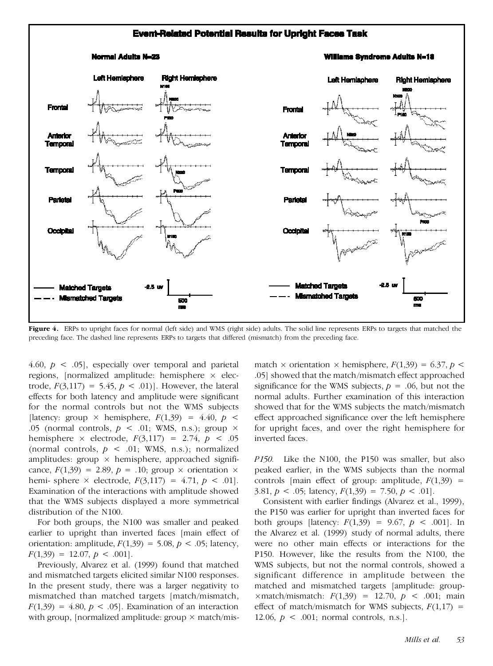

**Figure 4.** ERPs to upright faces for normal (left side) and WMS (right side) adults. The solid line represents ERPs to targets that matched the preceding face. The dashed line represents ERPs to targets that differed (mismatch) from the preceding face.

4.60,  $p \leq 0.05$ , especially over temporal and parietal regions, [normalized amplitude: hemisphere  $\times$  electrode,  $F(3,117) = 5.45, p < .01$ ]. However, the lateral effects for both latency and amplitude were significant for the normal controls but not the WMS subjects [latency: group  $\times$  hemisphere,  $F(1,39) = 4.40, p <$ .05 (normal controls,  $p \le 0.01$ ; WMS, n.s.); group  $\times$ hemisphere  $\times$  electrode,  $F(3,117) = 2.74, p < .05$ (normal controls,  $p \leq .01$ ; WMS, n.s.); normalized amplitudes: group  $\times$  hemisphere, approached significance,  $F(1,39) = 2.89$ ,  $p = .10$ ; group  $\times$  orientation  $\times$ hemi- sphere  $\times$  electrode,  $F(3,117) = 4.71, p < .01$ . Examination of the interactions with amplitude showed that the WMS subjects displayed a more symmetrical distribution of the N100.

For both groups, the N100 was smaller and peaked earlier to upright than inverted faces [main effect of orientation: amplitude,  $F(1,39) = 5.08$ ,  $p < .05$ ; latency,  $F(1,39) = 12.07, p < .001$ .

Previously, Alvarez et al. (1999) found that matched and mismatched targets elicited similar N100 responses. In the present study, there was a larger negativity to mismatched than matched targets [match/mismatch,  $F(1,39) = 4.80, p < .05$ . Examination of an interaction with group, [normalized amplitude: group  $\times$  match/mismatch  $\times$  orientation  $\times$  hemisphere,  $F(1,39) = 6.37$ ,  $p \le$ .05] showed that the match/mismatch effect approached significance for the WMS subjects,  $p = 0.06$ , but not the normal adults. Further examination of this interaction showed that for the WMS subjects the match/mismatch effect approached significance over the left hemisphere for upright faces, and over the right hemisphere for inverted faces.

*P150.* Like the N100, the P150 was smaller, but also peaked earlier, in the WMS subjects than the normal controls [main effect of group: amplitude,  $F(1,39)$  = 3.81,  $p < .05$ ; latency,  $F(1,39) = 7.50$ ,  $p < .01$ .

Consistent with earlier findings (Alvarez et al., 1999), the P150 was earlier for upright than inverted faces for both groups [latency:  $F(1,39) = 9.67, p < .001$ ]. In the Alvarez et al. (1999) study of normal adults, there were no other main effects or interactions for the P150. However, like the results from the N100, the WMS subjects, but not the normal controls, showed a significant difference in amplitude between the matched and mismatched targets [amplitude: group-  $\times$ match/mismatch:  $F(1,39) = 12.70, p < .001$ ; main effect of match/mismatch for WMS subjects,  $F(1,17)$  = 12.06,  $p < .001$ ; normal controls, n.s.].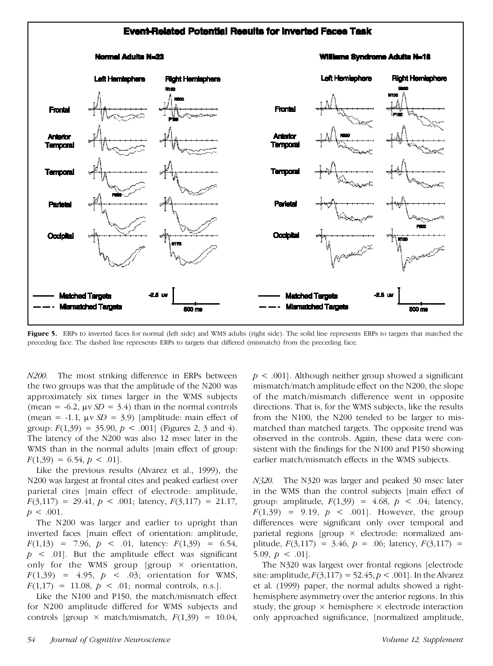

Figure 5. ERPs to inverted faces for normal (left side) and WMS adults (right side). The solid line represents ERPs to targets that matched the preceding face. The dashed line represents ERPs to targets that differed (mismatch) from the preceding face.

*N200.* The most striking difference in ERPs between the two groups was that the amplitude of the N200 was approximately six times larger in the WMS subjects (mean =  $-6.2$ ,  $\mu \text{v}$  *SD* = 3.4) than in the normal controls (mean =  $-1.1$ ,  $\mu v$  *SD* = 3.9) [amplitude: main effect of group:  $F(1,39) = 35.90$ ,  $p < .001$  (Figures 2, 3 and 4). The latency of the N200 was also 12 msec later in the WMS than in the normal adults [main effect of group:  $F(1,39) = 6.54, p < .01$ .

Like the previous results (Alvarez et al., 1999), the N200 was largest at frontal cites and peaked earliest over parietal cites [main effect of electrode: amplitude,  $F(3,117) = 29.41, p < .001$ ; latency,  $F(3,117) = 21.17$ ,  $p < .001$ .

The N200 was larger and earlier to upright than inverted faces [main effect of orientation: amplitude,  $F(1,13) = 7.96, p < .01,$  latency:  $F(1,39) = 6.54,$  $p \leq 0.01$ . But the amplitude effect was significant only for the WMS group [group  $\times$  orientation,  $F(1,39) = 4.95, p < .03$ ; orientation for WMS,  $F(1,17) = 11.08, p < .01$ ; normal controls, n.s.].

Like the N100 and P150, the match/mismatch effect for N200 amplitude differed for WMS subjects and controls [group  $\times$  match/mismatch,  $F(1,39) = 10.04$ ,

 $p < .001$ ]. Although neither group showed a significant mismatch/match amplitude effect on the N200, the slope of the match/mismatch difference went in opposite directions. That is, for the WMS subjects, like the results from the N100, the N200 tended to be larger to mismatched than matched targets. The opposite trend was observed in the controls. Again, these data were consistent with the findings for the N100 and P150 showing earlier match/mismatch effects in the WMS subjects.

*N320.* The N320 was larger and peaked 30 msec later in the WMS than the control subjects [main effect of group: amplitude,  $F(1,39) = 4.68$ ,  $p < .04$ ; latency,  $F(1,39) = 9.19, p < .001$ . However, the group differences were significant only over temporal and parietal regions [group  $\times$  electrode: normalized amplitude,  $F(3,117) = 3.46$ ,  $p = .06$ ; latency,  $F(3,117) =$ 5.09,  $p < .01$ .

The N320 was largest over frontal regions [electrode site: amplitude,  $F(3,117) = 52.45, p < .001$ . In the Alvarez et al. (1999) paper, the normal adults showed a righthemisphere asymmetry over the anterior regions. In this study, the group  $\times$  hemisphere  $\times$  electrode interaction only approached significance, [normalized amplitude,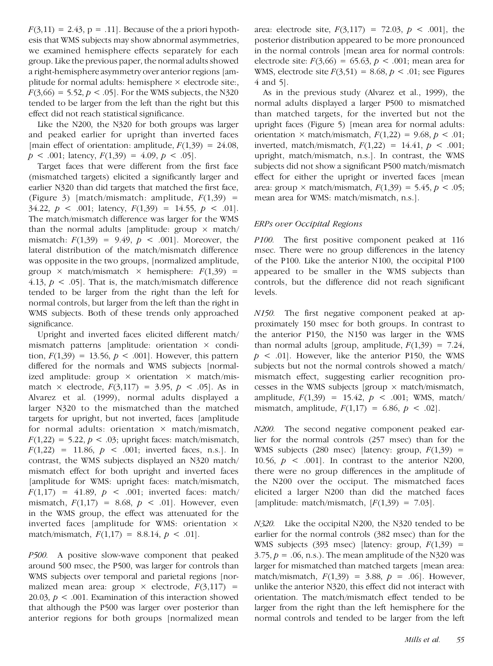$F(3,11) = 2.43$ ,  $p = .11$ ]. Because of the a priori hypothesis that WMS subjects may show abnormal asymmetries, we examined hemisphere effects separately for each group. Like the previous paper, the normal adults showed a right-hemisphere asymmetry over anterior regions [amplitude for normal adults: hemisphere  $\times$  electrode site:,  $F(3,66) = 5.52, p < .05$ . For the WMS subjects, the N320 tended to be larger from the left than the right but this effect did not reach statistical significance.

Like the N200, the N320 for both groups was larger and peaked earlier for upright than inverted faces [main effect of orientation: amplitude,  $F(1,39) = 24.08$ ,  $p < .001$ ; latency,  $F(1,39) = 4.09$ ,  $p < .05$ .

Target faces that were different from the first face (mismatched targets) elicited a significantly larger and earlier N320 than did targets that matched the first face, (Figure 3)  $[match/mismatch: amplitude, F(1,39) =$ 34.22,  $p \lt 0.001$ ; latency,  $F(1,39) = 14.55$ ,  $p \lt 0.01$ . The match/mismatch difference was larger for the WMS than the normal adults [amplitude: group  $\times$  match/ mismatch: *F*(1,39) = 9.49, *p* < .001]. Moreover, the lateral distribution of the match/mismatch difference was opposite in the two groups, [normalized amplitude, group  $\times$  match/mismatch  $\times$  hemisphere:  $F(1,39) =$ 4.13,  $p < .05$ ]. That is, the match/mismatch difference tended to be larger from the right than the left for normal controls, but larger from the left than the right in WMS subjects. Both of these trends only approached significance.

Upright and inverted faces elicited different match/ mismatch patterns [amplitude: orientation  $\times$  condition,  $F(1,39) = 13.56, p < .001$ . However, this pattern differed for the normals and WMS subjects [normalized amplitude: group  $\times$  orientation  $\times$  match/mismatch  $\times$  electrode,  $F(3,117) = 3.95, p < .05$ . As in Alvarez et al. (1999), normal adults displayed a larger N320 to the mismatched than the matched targets for upright, but not inverted, faces [amplitude for normal adults: orientation  $\times$  match/mismatch,  $F(1,22) = 5.22, p < .03$ ; upright faces: match/mismatch,  $F(1,22) = 11.86, p \le .001$ ; inverted faces, n.s.]. In contrast, the WMS subjects displayed an N320 match/ mismatch effect for both upright and inverted faces [amplitude for WMS: upright faces: match/mismatch,  $F(1,17) = 41.89, p < .001$ ; inverted faces: match/ mismatch,  $F(1,17) = 8.68, p < .01$ . However, even in the WMS group, the effect was attenuated for the inverted faces [amplitude for WMS: orientation  $\times$ match/mismatch,  $F(1,17) = 8.8.14, p < .01$ .

*P500.* A positive slow-wave component that peaked around 500 msec, the P500, was larger for controls than WMS subjects over temporal and parietal regions [normalized mean area: group  $\times$  electrode,  $F(3,117) =$ 20.03,  $p < .001$ . Examination of this interaction showed that although the P500 was larger over posterior than anterior regions for both groups [normalized mean area: electrode site,  $F(3,117) = 72.03$ ,  $p < .001$ , the posterior distribution appeared to be more pronounced in the normal controls [mean area for normal controls: electrode site:  $F(3,66) = 65.63, p < .001$ ; mean area for WMS, electrode site  $F(3,51) = 8.68$ ,  $p < .01$ ; see Figures 4 and 5].

As in the previous study (Alvarez et al., 1999), the normal adults displayed a larger P500 to mismatched than matched targets, for the inverted but not the upright faces (Figure 5) [mean area for normal adults: orientation  $\times$  match/mismatch,  $F(1,22) = 9.68$ ,  $p < .01$ ; inverted, match/mismatch,  $F(1,22) = 14.41, p < .001$ ; upright, match/mismatch, n.s.]. In contrast, the WMS subjects did not show a significant P500 match/mismatch effect for either the upright or inverted faces [mean area: group  $\times$  match/mismatch,  $F(1,39) = 5.45, p < .05$ ; mean area for WMS: match/mismatch, n.s.].

### *ERPs over Occipital Regions*

*P100.* The first positive component peaked at 116 msec. There were no group differences in the latency of the P100. Like the anterior N100, the occipital P100 appeared to be smaller in the WMS subjects than controls, but the difference did not reach significant levels.

*N150.* The first negative component peaked at approximately 150 msec for both groups. In contrast to the anterior P150, the N150 was larger in the WMS than normal adults [group, amplitude,  $F(1,39) = 7.24$ ,  $p \leq .01$ . However, like the anterior P150, the WMS subjects but not the normal controls showed a match/ mismatch effect, suggesting earlier recognition processes in the WMS subjects [group  $\times$  match/mismatch, amplitude, *F*(1,39) = 15.42, *p* < .001; WMS, match/ mismatch, amplitude,  $F(1,17) = 6.86, p < .02$ .

*N200.* The second negative component peaked earlier for the normal controls (257 msec) than for the WMS subjects  $(280$  msec) [latency: group,  $F(1,39)$  = 10.56,  $p \le 0.001$ . In contrast to the anterior N200, there were no group differences in the amplitude of the N200 over the occiput. The mismatched faces elicited a larger N200 than did the matched faces [amplitude: match/mismatch,  $[F(1,39) = 7.03]$ .

*N320.* Like the occipital N200, the N320 tended to be earlier for the normal controls (382 msec) than for the WMS subjects (393 msec) [latency: group, *F*(1,39) =  $3.75, p = .06, n.s.$ ). The mean amplitude of the N320 was larger for mismatched than matched targets [mean area: match/mismatch,  $F(1,39) = 3.88, p = .06$ . However, unlike the anterior N320, this effect did not interact with orientation. The match/mismatch effect tended to be larger from the right than the left hemisphere for the normal controls and tended to be larger from the left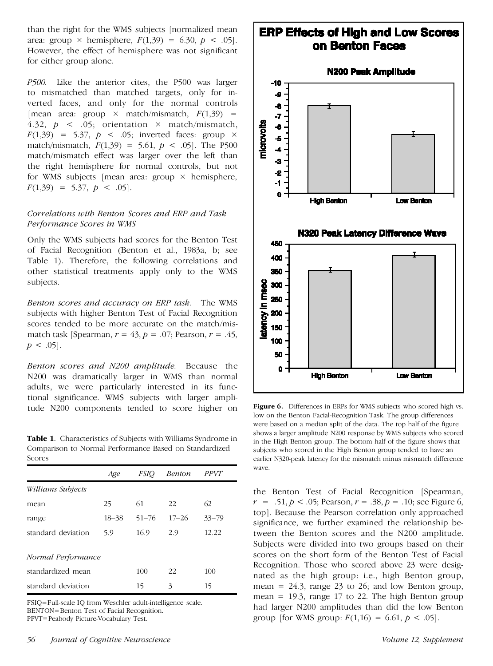than the right for the WMS subjects [normalized mean area: group  $\times$  hemisphere,  $F(1,39) = 6.30, p < .05$ . However, the effect of hemisphere was not significant for either group alone.

*P500.* Like the anterior cites, the P500 was larger to mismatched than matched targets, only for inverted faces, and only for the normal controls [mean area: group  $\times$  match/mismatch,  $F(1,39)$  = 4.32,  $p \leq .05$ ; orientation  $\times$  match/mismatch, 4.52,  $p \le 0.05$ ; orientation  $\times$  match/mismatch,<br>*F*(1,39) = 5.37,  $p \le 0.05$ ; inverted faces: group  $\times$  match/mismatch, *F*(1,39) = 5.61,  $p \le 0.05$ ]. The P500 match/mismatch,  $F(1,39) = 5.61, p < .05$ . The P500 match/mismatch effect was larger over the left than the right hemisphere for normal controls, but not for WMS subjects [mean area: group  $\times$  hemisphere,  $F(1,39) = 5.37, p \le .05$ .

## *Correlations with Benton Scores and ERP and Task Performance Scores in WMS*

Only the WMS subjects had scores for the Benton Test of Facial Recognition (Benton et al., 1983a, b; see Table 1). Therefore, the following correlations and other statistical treatments apply only to the WMS subjects.

*Benton scores and accuracy on ERP task.* The WMS subjects with higher Benton Test of Facial Recognition scores tended to be more accurate on the match/mismatch task [Spearman,  $r = 43$ ,  $p = .07$ ; Pearson,  $r = .45$ ,  $p < .05$ ].

*Benton scores and N200 amplitude.* Because the N200 was dramatically larger in WMS than normal adults, we were particularly interested in its functional significance. WMS subjects with larger amplitude N200 components tended to score higher on

**Table 1**. Characteristics of Subjects with Williams Syndrome in Comparison to Normal Performance Based on Standardized Scores

|                    | Age       | <i>FSIQ</i> | <b>Benton</b> | <b>PPVT</b> |
|--------------------|-----------|-------------|---------------|-------------|
| Williams Subjects  |           |             |               |             |
| mean               | 25        | 61          | 22            | 62          |
| range              | $18 - 38$ | $51 - 76$   | $17 - 26$     | $33 - 79$   |
| standard deviation | 5.9       | 16.9        | 2.9           | 12.22       |
| Normal Performance |           |             |               |             |
| standardized mean  |           | 100         | 22            | 100         |
| standard deviation |           | 15          | 3             | 15          |

FSIQ=Full-scale IQ from Weschler adult-intelligence scale. BENTON=Benton Test of Facial Recognition. PPVT=Peabody Picture-Vocabulary Test.

## **ERP Effects of High and Low Score** on Benton Faces



**Figure 6.** Differences in ERPs for WMS subjects who scored high vs. low on the Benton Facial-Recognition Task. The group differences were based on a median split of the data. The top half of the figure shows a larger amplitude N200 response by WMS subjects who scored in the High Benton group. The bottom half of the figure shows that subjects who scored in the High Benton group tended to have an earlier N320-peak latency for the mismatch minus mismatch difference wave.

the Benton Test of Facial Recognition [Spearman,  $r = .51, p < .05$ ; Pearson,  $r = .38, p = .10$ ; see Figure 6, top]. Because the Pearson correlation only approached significance, we further examined the relationship between the Benton scores and the N200 amplitude. Subjects were divided into two groups based on their scores on the short form of the Benton Test of Facial Recognition. Those who scored above 23 were designated as the high group: i.e., high Benton group, mean =  $24.3$ , range  $23$  to  $26$ ; and low Benton group, mean  $= 19.3$ , range 17 to 22. The high Benton group had larger N200 amplitudes than did the low Benton group [for WMS group:  $F(1,16) = 6.61, p < .05$ ].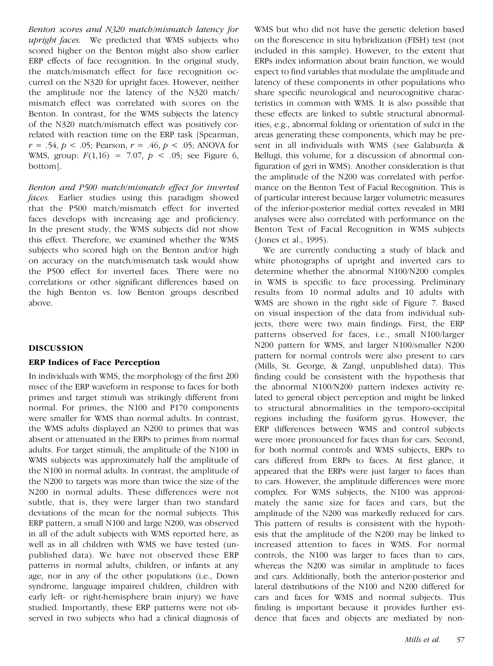*Benton scores and N320 match/mismatch latency for upright faces.* We predicted that WMS subjects who scored higher on the Benton might also show earlier ERP effects of face recognition. In the original study, the match/mismatch effect for face recognition occurred on the N320 for upright faces. However, neither the amplitude nor the latency of the N320 match/ mismatch effect was correlated with scores on the Benton. In contrast, for the WMS subjects the latency of the N320 match/mismatch effect was positively correlated with reaction time on the ERP task [Spearman,  $r = .54$ ,  $p < .05$ ; Pearson,  $r = .46$ ,  $p < .05$ ; ANOVA for WMS, group: *F*(1,16) = 7.07, *p* < .05; see Figure 6, bottom].

*Benton and P500 match/mismatch effect for inverted faces.* Earlier studies using this paradigm showed that the P500 match/mismatch effect for inverted faces develops with increasing age and proficiency. In the present study, the WMS subjects did not show this effect. Therefore, we examined whether the WMS subjects who scored high on the Benton and/or high on accuracy on the match/mismatch task would show the P500 effect for inverted faces. There were no correlations or other significant differences based on the high Benton vs. low Benton groups described above.

## **DISCUSSION**

### **ERP Indices of Face Perception**

In individuals with WMS, the morphology of the first 200 msec of the ERP waveform in response to faces for both primes and target stimuli was strikingly different from normal. For primes, the N100 and P170 components were smaller for WMS than normal adults. In contrast, the WMS adults displayed an N200 to primes that was absent or attenuated in the ERPs to primes from normal adults. For target stimuli, the amplitude of the N100 in WMS subjects was approximately half the amplitude of the N100 in normal adults. In contrast, the amplitude of the N200 to targets was more than twice the size of the N200 in normal adults. These differences were not subtle, that is, they were larger than two standard deviations of the mean for the normal subjects. This ERP pattern, a small N100 and large N200, was observed in all of the adult subjects with WMS reported here, as well as in all children with WMS we have tested (unpublished data). We have not observed these ERP patterns in normal adults, children, or infants at any age, nor in any of the other populations (i.e., Down syndrome, language impaired children, children with early left- or right-hemisphere brain injury) we have studied. Importantly, these ERP patterns were not observed in two subjects who had a clinical diagnosis of WMS but who did not have the genetic deletion based on the florescence in situ hybridization (FISH) test (not included in this sample). However, to the extent that ERPs index information about brain function, we would expect to find variables that modulate the amplitude and latency of these components in other populations who share specific neurological and neurocognitive characteristics in common with WMS. It is also possible that these effects are linked to subtle structural abnormalities, e.g., abnormal folding or orientation of sulci in the areas generating these components, which may be present in all individuals with WMS (see Galaburda & Bellugi, this volume, for a discussion of abnormal configuration of gyri in WMS). Another consideration is that the amplitude of the N200 was correlated with performance on the Benton Test of Facial Recognition. This is of particular interest because larger volumetric measures of the inferior-posterior medial cortex revealed in MRI analyses were also correlated with performance on the Benton Test of Facial Recognition in WMS subjects (Jones et al., 1995).

We are currently conducting a study of black and white photographs of upright and inverted cars to determine whether the abnormal N100/N200 complex in WMS is specific to face processing. Preliminary results from 10 normal adults and 10 adults with WMS are shown in the right side of Figure 7. Based on visual inspection of the data from individual subjects, there were two main findings. First, the ERP patterns observed for faces, i.e., small N100/larger N200 pattern for WMS, and larger N100/smaller N200 pattern for normal controls were also present to cars (Mills, St. George, & Zangl, unpublished data). This finding could be consistent with the hypothesis that the abnormal N100/N200 pattern indexes activity related to general object perception and might be linked to structural abnormalities in the temporo-occipital regions including the fusiform gyrus. However, the ERP differences between WMS and control subjects were more pronounced for faces than for cars. Second, for both normal controls and WMS subjects, ERPs to cars differed from ERPs to faces. At first glance, it appeared that the ERPs were just larger to faces than to cars. However, the amplitude differences were more complex. For WMS subjects, the N100 was approximately the same size for faces and cars, but the amplitude of the N200 was markedly reduced for cars. This pattern of results is consistent with the hypothesis that the amplitude of the N200 may be linked to increased attention to faces in WMS. For normal controls, the N100 was larger to faces than to cars, whereas the N200 was similar in amplitude to faces and cars. Additionally, both the anterior-posterior and lateral distributions of the N100 and N200 differed for cars and faces for WMS and normal subjects. This finding is important because it provides further evidence that faces and objects are mediated by non-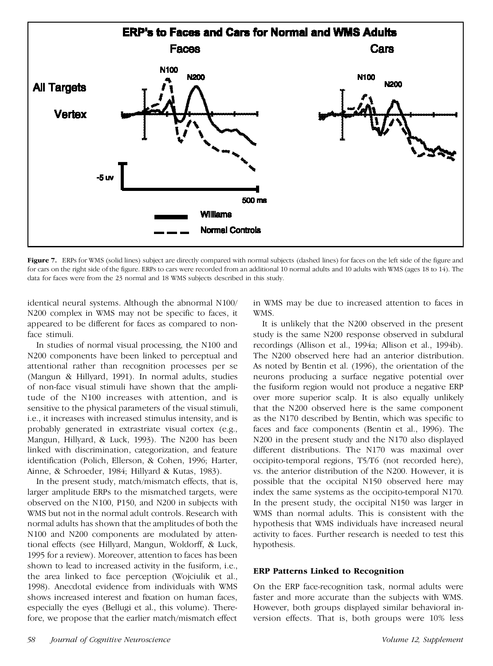

Figure 7. ERPs for WMS (solid lines) subject are directly compared with normal subjects (dashed lines) for faces on the left side of the figure and for cars on the right side of the figure. ERPs to cars were recorded from an additional 10 normal adults and 10 adults with WMS (ages 18 to 14). The data for faces were from the 23 normal and 18 WMS subjects described in this study.

identical neural systems. Although the abnormal N100/ N200 complex in WMS may not be specific to faces, it appeared to be different for faces as compared to nonface stimuli.

In studies of normal visual processing, the N100 and N200 components have been linked to perceptual and attentional rather than recognition processes per se (Mangun & Hillyard, 1991). In normal adults, studies of non-face visual stimuli have shown that the amplitude of the N100 increases with attention, and is sensitive to the physical parameters of the visual stimuli, i.e., it increases with increased stimulus intensity, and is probably generated in extrastriate visual cortex (e.g., Mangun, Hillyard, & Luck, 1993). The N200 has been linked with discrimination, categorization, and feature identification (Polich, Ellerson, & Cohen, 1996; Harter, Ainne, & Schroeder, 1984; Hillyard & Kutas, 1983).

In the present study, match/mismatch effects, that is, larger amplitude ERPs to the mismatched targets, were observed on the N100, P150, and N200 in subjects with WMS but not in the normal adult controls. Research with normal adults has shown that the amplitudes of both the N100 and N200 components are modulated by attentional effects (see Hillyard, Mangun, Woldorff, & Luck, 1995 for a review). Moreover, attention to faces has been shown to lead to increased activity in the fusiform, i.e., the area linked to face perception (Wojciulik et al., 1998). Anecdotal evidence from individuals with WMS shows increased interest and fixation on human faces, especially the eyes (Bellugi et al., this volume). Therefore, we propose that the earlier match/mismatch effect

in WMS may be due to increased attention to faces in WMS.

It is unlikely that the N200 observed in the present study is the same N200 response observed in subdural recordings (Allison et al., 1994a; Allison et al., 1994b). The N200 observed here had an anterior distribution. As noted by Bentin et al. (1996), the orientation of the neurons producing a surface negative potential over the fusiform region would not produce a negative ERP over more superior scalp. It is also equally unlikely that the N200 observed here is the same component as the N170 described by Bentin, which was specific to faces and face components (Bentin et al., 1996). The N200 in the present study and the N170 also displayed different distributions. The N170 was maximal over occipito-temporal regions, T5/T6 (not recorded here), vs. the anterior distribution of the N200. However, it is possible that the occipital N150 observed here may index the same systems as the occipito-temporal N170. In the present study, the occipital N150 was larger in WMS than normal adults. This is consistent with the hypothesis that WMS individuals have increased neural activity to faces. Further research is needed to test this hypothesis.

### **ERP Patterns Linked to Recognition**

On the ERP face-recognition task, normal adults were faster and more accurate than the subjects with WMS. However, both groups displayed similar behavioral inversion effects. That is, both groups were 10% less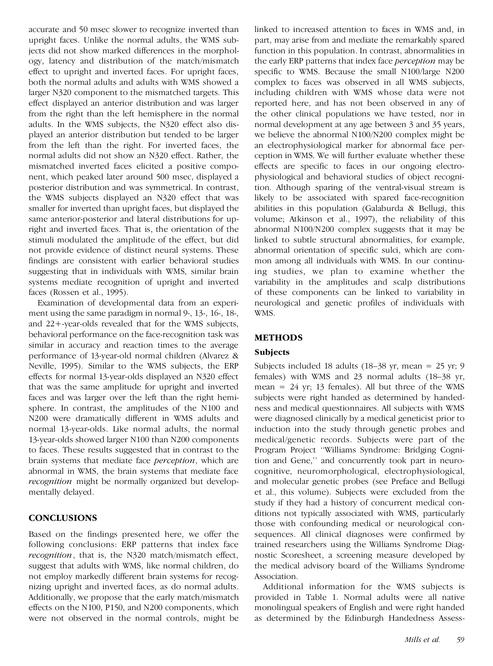accurate and 50 msec slower to recognize inverted than upright faces. Unlike the normal adults, the WMS subjects did not show marked differences in the morphology, latency and distribution of the match/mismatch effect to upright and inverted faces. For upright faces, both the normal adults and adults with WMS showed a larger N320 component to the mismatched targets. This effect displayed an anterior distribution and was larger from the right than the left hemisphere in the normal adults. In the WMS subjects, the N320 effect also displayed an anterior distribution but tended to be larger from the left than the right. For inverted faces, the normal adults did not show an N320 effect. Rather, the mismatched inverted faces elicited a positive component, which peaked later around 500 msec, displayed a posterior distribution and was symmetrical. In contrast, the WMS subjects displayed an N320 effect that was smaller for inverted than upright faces, but displayed the same anterior-posterior and lateral distributions for upright and inverted faces. That is, the orientation of the stimuli modulated the amplitude of the effect, but did not provide evidence of distinct neural systems. These findings are consistent with earlier behavioral studies suggesting that in individuals with WMS, similar brain systems mediate recognition of upright and inverted faces (Rossen et al., 1995).

Examination of developmental data from an experiment using the same paradigm in normal 9-, 13-, 16-, 18-, and 22+-year-olds revealed that for the WMS subjects, behavioral performance on the face-recognition task was similar in accuracy and reaction times to the average performance of 13-year-old normal children (Alvarez & Neville, 1995). Similar to the WMS subjects, the ERP effects for normal 13-year-olds displayed an N320 effect that was the same amplitude for upright and inverted faces and was larger over the left than the right hemisphere. In contrast, the amplitudes of the N100 and N200 were dramatically different in WMS adults and normal 13-year-olds. Like normal adults, the normal 13-year-olds showed larger N100 than N200 components to faces. These results suggested that in contrast to the brain systems that mediate face *perception*, which are abnormal in WMS, the brain systems that mediate face *recognition* might be normally organized but developmentally delayed.

## **CONCLUSIONS**

Based on the findings presented here, we offer the following conclusions: ERP patterns that index face *recognition*, that is, the N320 match/mismatch effect, suggest that adults with WMS, like normal children, do not employ markedly different brain systems for recognizing upright and inverted faces, as do normal adults. Additionally, we propose that the early match/mismatch effects on the N100, P150, and N200 components, which were not observed in the normal controls, might be linked to increased attention to faces in WMS and, in part, may arise from and mediate the remarkably spared function in this population. In contrast, abnormalities in the early ERP patterns that index face *perception* may be specific to WMS. Because the small N100/large N200 complex to faces was observed in all WMS subjects, including children with WMS whose data were not reported here, and has not been observed in any of the other clinical populations we have tested, nor in normal development at any age between 3 and 35 years, we believe the abnormal N100/N200 complex might be an electrophysiological marker for abnormal face perception in WMS. We will further evaluate whether these effects are specific to faces in our ongoing electrophysiological and behavioral studies of object recognition. Although sparing of the ventral-visual stream is likely to be associated with spared face-recognition abilities in this population (Galaburda & Bellugi, this volume; Atkinson et al., 1997), the reliability of this abnormal N100/N200 complex suggests that it may be linked to subtle structural abnormalities, for example, abnormal orientation of specific sulci, which are common among all individuals with WMS. In our continuing studies, we plan to examine whether the variability in the amplitudes and scalp distributions of these components can be linked to variability in neurological and genetic profiles of individuals with WMS.

## **METHODS**

## **Subjects**

Subjects included 18 adults (18–38 yr, mean = 25 yr; 9 females) with WMS and 23 normal adults (18–38 yr, mean =  $24$  yr; 13 females). All but three of the WMS subjects were right handed as determined by handedness and medical questionnaires. All subjects with WMS were diagnosed clinically by a medical geneticist prior to induction into the study through genetic probes and medical/genetic records. Subjects were part of the Program Project ''Williams Syndrome: Bridging Cognition and Gene,'' and concurrently took part in neurocognitive, neuromorphological, electrophysiological, and molecular genetic probes (see Preface and Bellugi et al., this volume). Subjects were excluded from the study if they had a history of concurrent medical conditions not typically associated with WMS, particularly those with confounding medical or neurological consequences. All clinical diagnoses were confirmed by trained researchers using the Williams Syndrome Diagnostic Scoresheet, a screening measure developed by the medical advisory board of the Williams Syndrome Association.

Additional information for the WMS subjects is provided in Table 1. Normal adults were all native monolingual speakers of English and were right handed as determined by the Edinburgh Handedness Assess-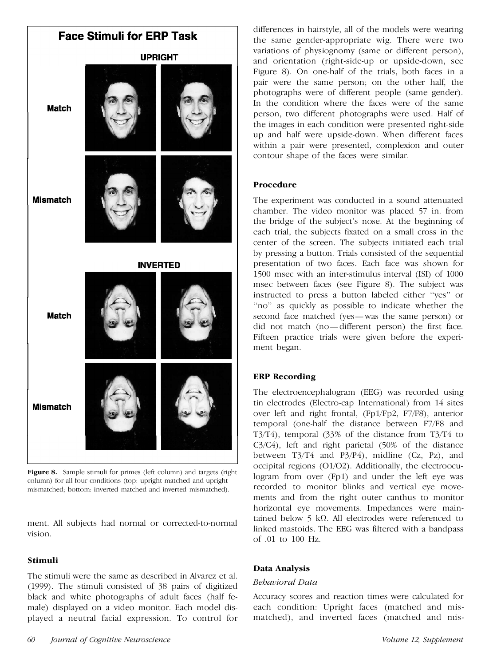

**Figure 8.** Sample stimuli for primes (left column) and targets (right column) for all four conditions (top: upright matched and upright mismatched; bottom: inverted matched and inverted mismatched).

ment. All subjects had normal or corrected-to-normal vision.

### **Stimuli**

The stimuli were the same as described in Alvarez et al. (1999). The stimuli consisted of 38 pairs of digitized black and white photographs of adult faces (half female) displayed on a video monitor. Each model displayed a neutral facial expression. To control for

differences in hairstyle, all of the models were wearing the same gender-appropriate wig. There were two variations of physiognomy (same or different person), and orientation (right-side-up or upside-down, see Figure 8). On one-half of the trials, both faces in a pair were the same person; on the other half, the photographs were of different people (same gender). In the condition where the faces were of the same person, two different photographs were used. Half of the images in each condition were presented right-side up and half were upside-down. When different faces within a pair were presented, complexion and outer contour shape of the faces were similar.

### **Procedure**

The experiment was conducted in a sound attenuated chamber. The video monitor was placed 57 in. from the bridge of the subject's nose. At the beginning of each trial, the subjects fixated on a small cross in the center of the screen. The subjects initiated each trial by pressing a button. Trials consisted of the sequential presentation of two faces. Each face was shown for 1500 msec with an inter-stimulus interval (ISI) of 1000 msec between faces (see Figure 8). The subject was instructed to press a button labeled either ''yes'' or "no" as quickly as possible to indicate whether the second face matched (yes— was the same person) or did not match (no— different person) the first face. Fifteen practice trials were given before the experiment began.

### **ERP Recording**

The electroencephalogram (EEG) was recorded using tin electrodes (Electro-cap International) from 14 sites over left and right frontal, (Fp1/Fp2, F7/F8), anterior temporal (one-half the distance between F7/F8 and T3/T4), temporal (33% of the distance from T3/T4 to C3/C4), left and right parietal (50% of the distance between T3/T4 and P3/P4), midline (Cz, Pz), and occipital regions (O1/O2). Additionally, the electrooculogram from over (Fp1) and under the left eye was recorded to monitor blinks and vertical eye movements and from the right outer canthus to monitor horizontal eye movements. Impedances were maintained below 5 k $\Omega$ . All electrodes were referenced to linked mastoids. The EEG was filtered with a bandpass of .01 to 100 Hz.

### **Data Analysis**

#### *Behavioral Data*

Accuracy scores and reaction times were calculated for each condition: Upright faces (matched and mismatched), and inverted faces (matched and mis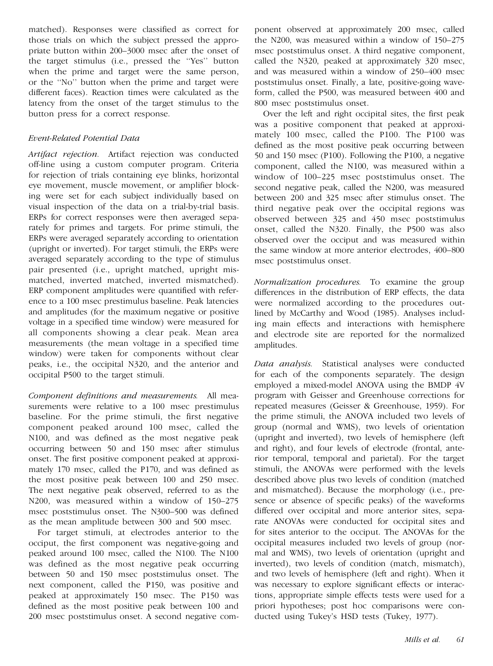matched). Responses were classified as correct for those trials on which the subject pressed the appropriate button within 200–3000 msec after the onset of the target stimulus (i.e., pressed the ''Yes'' button when the prime and target were the same person, or the ''No'' button when the prime and target were different faces). Reaction times were calculated as the latency from the onset of the target stimulus to the button press for a correct response.

## *Event-Related Potential Data*

*Artifact rejection.* Artifact rejection was conducted off-line using a custom computer program. Criteria for rejection of trials containing eye blinks, horizontal eye movement, muscle movement, or amplifier blocking were set for each subject individually based on visual inspection of the data on a trial-by-trial basis. ERPs for correct responses were then averaged separately for primes and targets. For prime stimuli, the ERPs were averaged separately according to orientation (upright or inverted). For target stimuli, the ERPs were averaged separately according to the type of stimulus pair presented (i.e., upright matched, upright mismatched, inverted matched, inverted mismatched). ERP component amplitudes were quantified with reference to a 100 msec prestimulus baseline. Peak latencies and amplitudes (for the maximum negative or positive voltage in a specified time window) were measured for all components showing a clear peak. Mean area measurements (the mean voltage in a specified time window) were taken for components without clear peaks, i.e., the occipital N320, and the anterior and occipital P500 to the target stimuli.

*Component definitions and measurements.* All measurements were relative to a 100 msec prestimulus baseline. For the prime stimuli, the first negative component peaked around 100 msec, called the N100, and was defined as the most negative peak occurring between 50 and 150 msec after stimulus onset. The first positive component peaked at approximately 170 msec, called the P170, and was defined as the most positive peak between 100 and 250 msec. The next negative peak observed, referred to as the N200, was measured within a window of 150–275 msec poststimulus onset. The N300–500 was defined as the mean amplitude between 300 and 500 msec.

For target stimuli, at electrodes anterior to the occiput, the first component was negative-going and peaked around 100 msec, called the N100. The N100 was defined as the most negative peak occurring between 50 and 150 msec poststimulus onset. The next component, called the P150, was positive and peaked at approximately 150 msec. The P150 was defined as the most positive peak between 100 and 200 msec poststimulus onset. A second negative component observed at approximately 200 msec, called the N200, was measured within a window of 150–275 msec poststimulus onset. A third negative component, called the N320, peaked at approximately 320 msec, and was measured within a window of 250–400 msec poststimulus onset. Finally, a late, positive-going waveform, called the P500, was measured between 400 and 800 msec poststimulus onset.

Over the left and right occipital sites, the first peak was a positive component that peaked at approximately 100 msec, called the P100. The P100 was defined as the most positive peak occurring between 50 and 150 msec (P100). Following the P100, a negative component, called the N100, was measured within a window of 100–225 msec poststimulus onset. The second negative peak, called the N200, was measured between 200 and 325 msec after stimulus onset. The third negative peak over the occipital regions was observed between 325 and 450 msec poststimulus onset, called the N320. Finally, the P500 was also observed over the occiput and was measured within the same window at more anterior electrodes, 400–800 msec poststimulus onset.

*Normalization procedures.* To examine the group differences in the distribution of ERP effects, the data were normalized according to the procedures outlined by McCarthy and Wood (1985). Analyses including main effects and interactions with hemisphere and electrode site are reported for the normalized amplitudes.

*Data analysis.* Statistical analyses were conducted for each of the components separately. The design employed a mixed-model ANOVA using the BMDP 4V program with Geisser and Greenhouse corrections for repeated measures (Geisser & Greenhouse, 1959). For the prime stimuli, the ANOVA included two levels of group (normal and WMS), two levels of orientation (upright and inverted), two levels of hemisphere (left and right), and four levels of electrode (frontal, anterior temporal, temporal and parietal). For the target stimuli, the ANOVAs were performed with the levels described above plus two levels of condition (matched and mismatched). Because the morphology (i.e., presence or absence of specific peaks) of the waveforms differed over occipital and more anterior sites, separate ANOVAs were conducted for occipital sites and for sites anterior to the occiput. The ANOVAs for the occipital measures included two levels of group (normal and WMS), two levels of orientation (upright and inverted), two levels of condition (match, mismatch), and two levels of hemisphere (left and right). When it was necessary to explore significant effects or interactions, appropriate simple effects tests were used for a priori hypotheses; post hoc comparisons were conducted using Tukey's HSD tests (Tukey, 1977).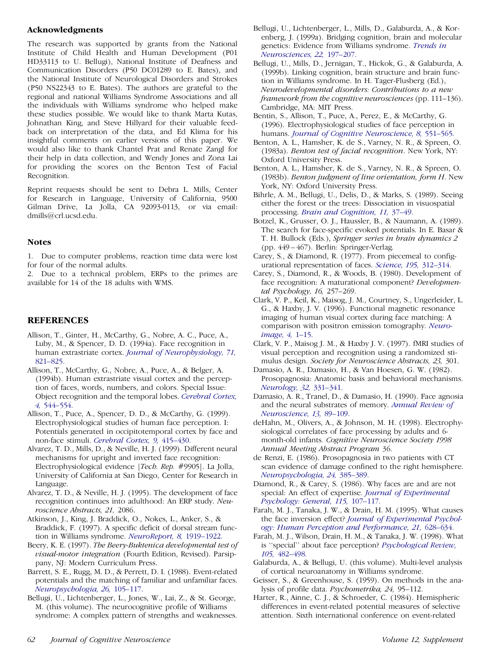### **Acknowledgments**

The research was supported by grants from the National Institute of Child Health and Human Development (P01 HD33113 to U. Bellugi), National Institute of Deafness and Communication Disorders (P50 DC01289 to E. Bates), and the National Institute of Neurological Disorders and Strokes (P50 NS22343 to E. Bates). The authors are grateful to the regional and national Williams Syndrome Associations and all the individuals with Williams syndrome who helped make these studies possible. We would like to thank Marta Kutas, Johnathan King, and Steve Hillyard for their valuable feedback on interpretation of the data, and Ed Klima for his insightful comments on earlier versions of this paper. We would also like to thank Chantel Prat and Renate Zangl for their help in data collection, and Wendy Jones and Zona Lai for providing the scores on the Benton Test of Facial Recognition.

Reprint requests should be sent to Debra L. Mills, Center for Research in Language, University of California, 9500 Gilman Drive, La Jolla, CA 92093-0113, or via email: dmills@crl.ucsd.edu.

### **Notes**

1. Due to computer problems, reaction time data were lost for four of the normal adults.

2. Due to a technical problem, ERPs to the primes are available for 14 of the 18 adults with WMS.

### **REFERENCES**

- Allison, T., Ginter, H., McCarthy, G., Nobre, A. C., Puce, A., Luby, M., & Spencer, D. D. (1994a). Face recognition in human extrastriate cortex. *Journal of [Neurophysiology,](http://pinkerton.catchword.com/nw=1/rpsv/0022-3077^28^2971L.821[csa=0022-3077^26vol=71^26iss=2^26firstpage=821,nlm=8176446]) 71,* [821–825.](http://pinkerton.catchword.com/nw=1/rpsv/0022-3077^28^2971L.821[csa=0022-3077^26vol=71^26iss=2^26firstpage=821,nlm=8176446])
- Allison, T., McCarthy, G., Nobre, A., Puce, A., & Belger, A. (1994b). Human extrastriate visual cortex and the perception of faces, words, numbers, and colors. Special Issue: Object recognition and the temporal lobes. *[Cerebral](http://pinkerton.catchword.com/nw=1/rpsv/1047-3211^28^294L.544[csa=1047-3211^26vol=4^26iss=5^26firstpage=544,nlm=7833655]) Cortex, 4,* [544–554.](http://pinkerton.catchword.com/nw=1/rpsv/1047-3211^28^294L.544[csa=1047-3211^26vol=4^26iss=5^26firstpage=544,nlm=7833655])
- Allison, T., Puce, A., Spencer, D. D., & McCarthy, G. (1999). Electrophysiological studies of human face perception. I: Potentials generated in occipitotemporal cortex by face and non-face stimuli. *[Cerebral](http://pinkerton.catchword.com/nw=1/rpsv/1047-3211^28^299L.415[csa=1047-3211^26vol=9^26iss=5^26firstpage=415,nlm=10450888]) Cortex, 9,* 415–430.
- Alvarez, T. D., Mills, D., & Neville, H. J. (1999). Different neural mechanisms for upright and inverted face recognition: Electrophysiological evidence [*Tech. Rep.* #9905]. La Jolla, University of California at San Diego, Center for Research in Language.
- Alvarez, T. D., & Neville, H. J. (1995). The development of face recognition continues into adulthood: An ERP study. *Neuroscience Abstracts, 21,* 2086.
- Atkinson, J., King, J. Braddick, O., Nokes, L., Anker, S., & Braddick, F. (1997). A specific deficit of dorsal stream function in Williams syndrome. *[NeuroReport,](http://pinkerton.catchword.com/nw=1/rpsv/0959-4965^28^298L.1919[nlm=9223077]) 8,* 1919–1922.
- Beery, K. E. (1997). *The Beery-Buktenica developmental test of visual-motor integration* (Fourth Edition, Revised). Parsippany, NJ: Modern Curriculum Press.
- Barrett, S. E., Rugg, M. D., & Perrett, D. I. (1988). Event-related potentials and the matching of familiar and unfamiliar faces. *[Neuropsychologia,](http://pinkerton.catchword.com/nw=1/rpsv/0028-3932^28^2926L.105[nlm=3362336]) 26,* 105–117.
- Bellugi, U., Lichtenberger, L., Jones, W., Lai, Z., & St. George, M. (this volume). The neurocognitive profile of Williams syndrome: A complex pattern of strengths and weaknesses.
- Bellugi, U., Lichtenberger, L., Mills, D., Galaburda, A., & Korenberg, J. (1999a). Bridging cognition, brain and molecular genetics: Evidence from Williams syndrome. *[Trends](http://pinkerton.catchword.com/nw=1/rpsv/0166-2236^28^2922L.197[nlm=10322491]) in [Neurosciences,](http://pinkerton.catchword.com/nw=1/rpsv/0166-2236^28^2922L.197[nlm=10322491]) 22,* 197–207.
- Bellugi, U., Mills, D., Jernigan, T., Hickok, G., & Galaburda, A. (1999b). Linking cognition, brain structure and brain function in Williams syndrome. In H. Tager-Flusberg (Ed.), *Neurodevelopmental disorders: Contributions to a new framework from the cognitive neurosciences* (pp. 111–136). Cambridge, MA: MIT Press.
- Bentin, S., Allison, T., Puce, A., Perez, E., & McCarthy, G. (1996). Electrophysiological studies of face perception in humans. *Journal of Cognitive [Neuroscience,](http://pinkerton.catchword.com/nw=1/rpsv/0898-929X^28^298L.551[csa=0898-929X^26vol=8^26iss=6^26firstpage=551]) 8,* 551–565.
- Benton, A. L., Hamsher, K. de S., Varney, N. R., & Spreen, O. (1983a). *Benton test of facial recognition*. New York, NY: Oxford University Press.
- Benton, A. L., Hamsher, K. de S., Varney, N. R., & Spreen, O. (1983b). *Benton judgment of line orientation, form H*. New York, NY: Oxford University Press.
- Bihrle, A. M., Bellugi, U., Delis, D., & Marks, S. (1989). Seeing either the forest or the trees: Dissociation in visuospatial processing. *Brain and [Cognition,](http://pinkerton.catchword.com/nw=1/rpsv/0278-2626^28^2911L.37[nlm=2528973]) 11,* 37–49.
- Botzel, K., Grusser, O. J., Haussler, B., & Naumann, A. (1989). The search for face-specific evoked potentials. In E. Basar & T. H. Bullock (Eds.), *Springer series in brain dynamics 2* (pp. 449 – 467). Berlin: Springer-Verlag.
- Carey, S., & Diamond, R. (1977). From piecemeal to configurational representation of faces. *Science, 195,* [312–314.](http://pinkerton.catchword.com/nw=1/rpsv/0036-8075^28^29195L.312[nlm=831281])
- Carey, S., Diamond, R., & Woods, B. (1980). Development of face recognition: A maturational component? *Developmental Psychology, 16,* 257–269.
- Clark, V. P., Keil, K., Maisog, J. M., Courtney, S., Ungerleider, L. G., & Haxby, J. V. (1996). Functional magnetic resonance imaging of human visual cortex during face matching: A comparison with positron emission tomography. *[Neuro](http://pinkerton.catchword.com/nw=1/rpsv/1053-8119^28^294L.1[csa=1053-8119^26vol=4^26iss=1^26firstpage=1,nlm=9345493])[image,](http://pinkerton.catchword.com/nw=1/rpsv/1053-8119^28^294L.1[csa=1053-8119^26vol=4^26iss=1^26firstpage=1,nlm=9345493]) 4,* 1–15.
- Clark, V. P., Maisog J. M., & Haxby J. V. (1997). fMRI studies of visual perception and recognition using a randomized stimulus design. *Society for Neuroscience Abstracts, 23,* 301.
- Damasio, A. R., Damasio, H., & Van Hoesen, G. W. (1982). Prosopagnosia: Anatomic basis and behavioral mechanisms. *[Neurology,](http://pinkerton.catchword.com/nw=1/rpsv/0028-3878^28^2932L.331[nlm=7199655]) 32,* 331–341.
- Damasio, A. R., Tranel, D., & Damasio, H. (1990). Face agnosia and the neural substrates of memory. *[Annual](http://pinkerton.catchword.com/nw=1/rpsv/0147-006X^28^2913L.89[csa=0147-006X^26vol=13^26iss=^26firstpage=89]) Review of [Neuroscience,](http://pinkerton.catchword.com/nw=1/rpsv/0147-006X^28^2913L.89[csa=0147-006X^26vol=13^26iss=^26firstpage=89]) 13,* 89–109.
- deHahn, M., Olivers, A., & Johnson, M. H. (1998). Electrophysiological correlates of face processing by adults and 6 month-old infants*. Cognitive Neuroscience Society 1998 Annual Meeting Abstract Program* 36.
- de Renzi, E. (1986). Prosopagnosia in two patients with CT scan evidence of damage confined to the right hemisphere. *[Neuropsychologia,](http://pinkerton.catchword.com/nw=1/rpsv/0028-3932^28^2924L.385[nlm=3736820]) 24,* 385–389.
- Diamond, R., & Carey, S. (1986). Why faces are and are not special: An effect of expertise. *Journal of [Experimental](http://pinkerton.catchword.com/nw=1/rpsv/0096-3445^28^29115L.107[nlm=2940312]) [Psychology:](http://pinkerton.catchword.com/nw=1/rpsv/0096-3445^28^29115L.107[nlm=2940312]) General, 115,* 107–117.
- Farah, M. J., Tanaka, J. W., & Drain, H. M. (1995). What causes the face inversion effect? *Journal of [Experimental](http://pinkerton.catchword.com/nw=1/rpsv/0096-1523^28^2921L.628[csa=0096-1523^26vol=21^26iss=3^26firstpage=628,nlm=7790837]) Psychology: Human Perception and [Performance,](http://pinkerton.catchword.com/nw=1/rpsv/0096-1523^28^2921L.628[csa=0096-1523^26vol=21^26iss=3^26firstpage=628,nlm=7790837]) 21,* 628–634.
- Farah, M. J., Wilson, Drain, H. M., & Tanaka, J. W. (1998). What is ''special'' about face perception? *[Psychological](http://pinkerton.catchword.com/nw=1/rpsv/0033-295X^28^29105L.482[csa=0033-295X^26vol=105^26iss=3^26firstpage=482]) Review, 105,* [482–498.](http://pinkerton.catchword.com/nw=1/rpsv/0033-295X^28^29105L.482[csa=0033-295X^26vol=105^26iss=3^26firstpage=482])
- Galaburda, A., & Bellugi, U. (this volume). Multi-level analysis of cortical neuroanatomy in Williams syndrome.
- Geisser, S., & Greenhouse, S. (1959). On methods in the analysis of profile data. *Psychometrika, 24,* 95–112.
- Harter, R., Ainne, C. J., & Schroeder, C. (1984). Hemispheric differences in event-related potential measures of selective attention. Sixth international conference on event-related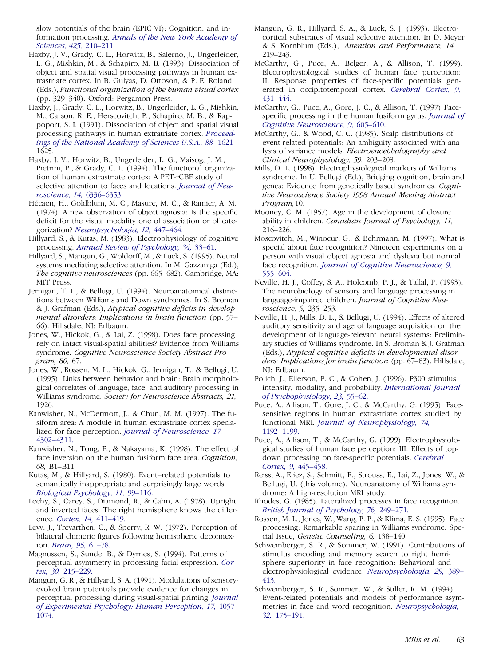slow potentials of the brain (EPIC VI): Cognition, and information processing. *Annals of the New York [Academy](http://pinkerton.catchword.com/nw=1/rpsv/0077-8923^28^29425L.210[nlm=6588832]) of [Sciences,](http://pinkerton.catchword.com/nw=1/rpsv/0077-8923^28^29425L.210[nlm=6588832]) 425,* 210–211.

- Haxby, J. V., Grady, C. L., Horwitz, B., Salerno, J., Ungerleider, L. G., Mishkin, M., & Schapiro, M. B. (1993). Dissociation of object and spatial visual processing pathways in human extrastriate cortex. In B. Gulyas, D. Ottoson, & P. E. Roland (Eds.), *Functional organization ofthe human visual cortex* (pp. 329–340). Oxford: Pergamon Press.
- Haxby, J., Grady, C. L., Horwitz, B., Ungerleider, L. G., Mishkin, M., Carson, R. E., Herscovitch, P., Schapiro, M. B., & Rappoport, S. I. (1991). Dissociation of object and spatial visual processing pathways in human extratriate cortex. *[Proceed](http://pinkerton.catchword.com/nw=1/rpsv/0027-8424^28^2988L.1621[csa=0027-8424^26vol=88^26iss=5^26firstpage=1621,nlm=2000370])ings of the National [Academy](http://pinkerton.catchword.com/nw=1/rpsv/0027-8424^28^2988L.1621[csa=0027-8424^26vol=88^26iss=5^26firstpage=1621,nlm=2000370]) of Sciences U.S.A., 88,* 1621– 1625.
- Haxby, J. V., Horwitz, B., Ungerleider, L. G., Maisog, J. M., Pietrini, P., & Grady, C. L. (1994). The functional organization of human extrastriate cortex: A PET-rCBF study of selective attention to faces and locations. *[Journal](http://pinkerton.catchword.com/nw=1/rpsv/0270-6474^28^2914L.6336[nlm=7965040]) of Neuroscience, 14,* [6336–6353.](http://pinkerton.catchword.com/nw=1/rpsv/0270-6474^28^2914L.6336[nlm=7965040])
- Hécaen, H., Goldblum, M. C., Masure, M. C., & Ramier, A. M. (1974). A new observation of object agnosia: Is the specific deficit for the visual modality one of association or of categorization? *[Neuropsychologia,](http://pinkerton.catchword.com/nw=1/rpsv/0028-3932^28^2912L.447[nlm=4373681]) 12,* 447–464.
- Hillyard, S., & Kutas, M. (1983). Electrophysiology of cognitive processing. *Annual Review of [Psychology,](http://pinkerton.catchword.com/nw=1/rpsv/0066-4308^28^2934L.33[nlm=6338812]) 34,* 33–61.
- Hillyard, S., Mangun, G., Woldorff, M., & Luck, S. (1995). Neural systems mediating selective attention. In M. Gazzaniga (Ed.), *The cognitive neurosciences* (pp. 665–682)*.* Cambridge, MA: MIT Press.
- Jernigan, T. L., & Bellugi, U. (1994). Neuroanatomical distinctions between Williams and Down syndromes. In S. Broman & J. Grafman (Eds.), *Atypical cognitive deficits in developmental disorders: Implications in brain function* (pp. 57– 66). Hillsdale, NJ: Erlbaum.
- Jones, W., Hickok, G., & Lai, Z. (1998). Does face processing rely on intact visual-spatial abilities? Evidence from Williams syndrome. *Cognitive Neuroscience Society Abstract Program, 80,* 67.
- Jones, W., Rossen, M. L., Hickok, G., Jernigan, T., & Bellugi, U. (1995). Links between behavior and brain: Brain morphological correlates of language, face, and auditory processing in Williams syndrome. *Society for Neuroscience Abstracts, 21,* 1926.
- Kanwisher, N., McDermott, J., & Chun, M. M. (1997). The fusiform area: A module in human extrastriate cortex specialized for face perception. *Journal of [Neuroscience,](http://pinkerton.catchword.com/nw=1/rpsv/0270-6474^28^2917L.4302[csa=0270-6474^26vol=17^26iss=11^26firstpage=4302,nlm=9151747]) 17,* [4302–4311.](http://pinkerton.catchword.com/nw=1/rpsv/0270-6474^28^2917L.4302[csa=0270-6474^26vol=17^26iss=11^26firstpage=4302,nlm=9151747])
- Kanwisher, N., Tong, F., & Nakayama, K. (1998). The effect of face inversion on the human fusiform face area. *Cognition, 68,* B1–B11.
- Kutas, M., & Hillyard, S. (1980). Event–related potentials to semantically inappropriate and surprisingly large words. *Biological [Psychology,](http://pinkerton.catchword.com/nw=1/rpsv/0301-0511^28^2911L.99[nlm=7272388]) 11,* 99–116.
- Leehy, S., Carey, S., Diamond, R., & Cahn, A. (1978). Upright and inverted faces: The right hemisphere knows the differ ence. *Cortex, 14,* [411–419.](http://pinkerton.catchword.com/nw=1/rpsv/0010-9452^28^2914L.411[nlm=710151])
- Levy, J., Trevarthen, C., & Sperry, R. W. (1972). Perception of bilateral chimeric figures following hemispheric deconnexion. *[Brain,](http://pinkerton.catchword.com/nw=1/rpsv/0006-8950^28^2995L.61[nlm=5023091]) 95,* 61–78.
- Magnussen, S., Sunde, B., & Dyrnes, S. (1994). Patterns of perceptual asymmetry in processing facial expression. *[Cor](http://pinkerton.catchword.com/nw=1/rpsv/0010-9452^28^2930L.215[csa=0010-9452^26vol=30^26iss=2^26firstpage=215,nlm=7924346,erg=144050])tex, 30,* [215–229.](http://pinkerton.catchword.com/nw=1/rpsv/0010-9452^28^2930L.215[csa=0010-9452^26vol=30^26iss=2^26firstpage=215,nlm=7924346,erg=144050])
- Mangun, G. R., & Hillyard, S. A. (1991). Modulations of sensoryevoked brain potentials provide evidence for changes in perceptual processing during visual-spatial priming. *[Journal](http://pinkerton.catchword.com/nw=1/rpsv/0096-1523^28^2917L.1057[csa=0096-1523^26vol=17^26iss=4^26firstpage=1057,nlm=1837297]) of [Experimental](http://pinkerton.catchword.com/nw=1/rpsv/0096-1523^28^2917L.1057[csa=0096-1523^26vol=17^26iss=4^26firstpage=1057,nlm=1837297]) Psychology: Human Perception, 17,* 1057– 1074.
- Mangun, G. R., Hillyard, S. A., & Luck, S. J. (1993). Electrocortical substrates of visual selective attention. In D. Meyer & S. Kornblum (Eds.), *Attention and Performance, 14,* 219–243.
- McCarthy, G., Puce, A., Belger, A., & Allison, T. (1999). Electrophysiological studies of human face perception: II. Response properties of face-specific potentials generated in occipitotemporal cortex. *[Cerebral](http://pinkerton.catchword.com/nw=1/rpsv/1047-3211^28^299L.431[csa=1047-3211^26vol=9^26iss=5^26firstpage=431,nlm=10450889]) Cortex, 9,* [431–444.](http://pinkerton.catchword.com/nw=1/rpsv/1047-3211^28^299L.431[csa=1047-3211^26vol=9^26iss=5^26firstpage=431,nlm=10450889])
- McCarthy, G., Puce, A., Gore, J. C., & Allison, T. (1997) Facespecific processing in the human fusiform gyrus. *[Journal](http://pinkerton.catchword.com/nw=1/rpsv/0898-929X^28^299L.605[csa=0898-929X^26vol=9^26iss=5^26firstpage=605]) of Cognitive [Neuroscience,](http://pinkerton.catchword.com/nw=1/rpsv/0898-929X^28^299L.605[csa=0898-929X^26vol=9^26iss=5^26firstpage=605]) 9,* 605–610.
- McCarthy, G., & Wood, C. C. (1985). Scalp distributions of event-related potentials: An ambiguity associated with analysis of variance models. *Electroencephalography and Clinical Neurophysiology, 59,* 203–208.
- Mills, D. L. (1998). Electrophysiological markers of Williams syndrome. In U. Bellugi (Ed.), Bridging cognition, brain and genes: Evidence from genetically based syndromes. *Cognitive Neuroscience Society 1998 Annual Meeting Abstract Program,*10.
- Mooney, C. M. (1957). Age in the development of closure ability in children. *Canadian Journal of Psychology, 11,* 216–226.
- Moscovitch, M., Winocur, G., & Behrmann, M. (1997). What is special about face recognition? Nineteen experiments on a person with visual object agnosia and dyslexia but normal face recognition. *Journal of Cognitive [Neuroscience,](http://pinkerton.catchword.com/nw=1/rpsv/0898-929X^28^299L.555[csa=0898-929X^26vol=9^26iss=5^26firstpage=555]) 9,* [555–604.](http://pinkerton.catchword.com/nw=1/rpsv/0898-929X^28^299L.555[csa=0898-929X^26vol=9^26iss=5^26firstpage=555])
- Neville, H. J., Coffey, S. A., Holcomb, P. J., & Tallal, P. (1993). The neurobiology of sensory and language processing in language-impaired children. *Journal of Cognitive Neuroscience, 5,* 235–253.
- Neville, H. J., Mills, D. L., & Bellugi, U. (1994). Effects of altered auditory sensitivity and age of language acquisition on the development of language-relevant neural systems: Preliminary studies of Williams syndrome. In S. Broman & J. Grafman (Eds.), *Atypical cognitive deficits in developmental disorders: Implications for brain function* (pp. 67–83). Hillsdale, NJ: Erlbaum.
- Polich, J., Ellerson, P. C., & Cohen, J. (1996). P300 stimulus intensity, modality, and probability. *[International](http://pinkerton.catchword.com/nw=1/rpsv/0167-8760^28^2923L.55[nlm=8880366]) Journal of [Psychophysiology,](http://pinkerton.catchword.com/nw=1/rpsv/0167-8760^28^2923L.55[nlm=8880366]) 23,* 55–62.
- Puce, A., Allison, T., Gore, J. C., & McCarthy, G. (1995). Facesensitive regions in human extrastriate cortex studied by functional MRI. *Journal of [Neurophysiology,](http://pinkerton.catchword.com/nw=1/rpsv/0022-3077^28^2974L.1192[nlm=7500143]) 74,* [1192–1199.](http://pinkerton.catchword.com/nw=1/rpsv/0022-3077^28^2974L.1192[nlm=7500143])
- Puce, A., Allison, T., & McCarthy, G. (1999). Electrophysiological studies of human face perception: III. Effects of topdown processing on face-specific potentials. *[Cerebral](http://pinkerton.catchword.com/nw=1/rpsv/1047-3211^28^299L.445[csa=1047-3211^26vol=9^26iss=5^26firstpage=445,nlm=10450890]) Cortex, 9,* [445–458.](http://pinkerton.catchword.com/nw=1/rpsv/1047-3211^28^299L.445[csa=1047-3211^26vol=9^26iss=5^26firstpage=445,nlm=10450890])
- Reiss, A., Eliez, S., Schmitt, E., Strouss, E., Lai, Z., Jones, W., & Bellugi, U. (this volume). Neuroanatomy of Williams syndrome: A high-resolution MRI study.
- Rhodes, G. (1985). Lateralized processes in face recognition. *British Journal of [Psychology,](http://pinkerton.catchword.com/nw=1/rpsv/0007-1269^28^2976L.249[nlm=4027490]) 76,* 249–271.
- Rossen, M. L., Jones, W., Wang, P. P., & Klima, E. S. (1995). Face processing: Remarkable sparing in Williams syndrome. Special Issue, *Genetic Counseling, 6,* 138–140.
- Schweinberger, S. R., & Sommer, W. (1991). Contributions of stimulus encoding and memory search to right hemisphere superiority in face recognition: Behavioral and electrophysiological evidence. *[Neuropsychologia,](http://pinkerton.catchword.com/nw=1/rpsv/0028-3932^28^2929L.389[csa=0028-3932^26vol=29^26iss=5^26firstpage=389,nlm=1886682]) 29,* 389– [413.](http://pinkerton.catchword.com/nw=1/rpsv/0028-3932^28^2929L.389[csa=0028-3932^26vol=29^26iss=5^26firstpage=389,nlm=1886682])
- Schweinberger, S. R., Sommer, W., & Stiller, R. M. (1994). Event-related potentials and models of performance asymmetries in face and word recognition. *[Neuropsychologia,](http://pinkerton.catchword.com/nw=1/rpsv/0028-3932^28^2932L.175[csa=0028-3932^26vol=32^26iss=2^26firstpage=175,nlm=8190242]) 32,* [175–191.](http://pinkerton.catchword.com/nw=1/rpsv/0028-3932^28^2932L.175[csa=0028-3932^26vol=32^26iss=2^26firstpage=175,nlm=8190242])